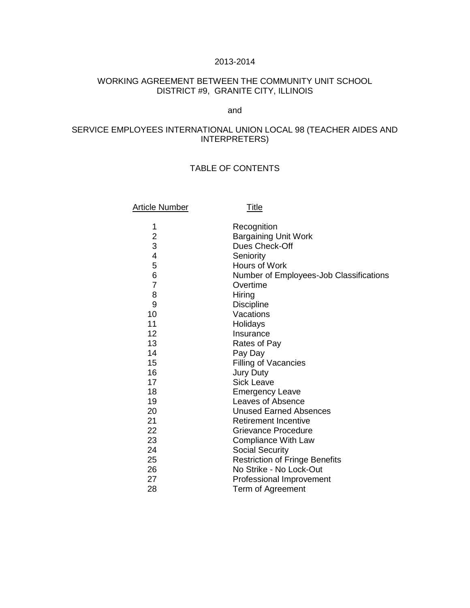#### 2013-2014

# WORKING AGREEMENT BETWEEN THE COMMUNITY UNIT SCHOOL DISTRICT #9, GRANITE CITY, ILLINOIS

### and

# SERVICE EMPLOYEES INTERNATIONAL UNION LOCAL 98 (TEACHER AIDES AND INTERPRETERS)

# TABLE OF CONTENTS

| <b>Article Number</b> | <u>Title</u>                            |
|-----------------------|-----------------------------------------|
| 1                     | Recognition                             |
| 2<br>3                | <b>Bargaining Unit Work</b>             |
|                       | Dues Check-Off                          |
| 4                     | Seniority                               |
| 5                     | <b>Hours of Work</b>                    |
| 6                     | Number of Employees-Job Classifications |
| $\overline{7}$        | Overtime                                |
| 8                     | Hiring                                  |
| 9                     | <b>Discipline</b>                       |
| 10                    | Vacations                               |
| 11                    | Holidays                                |
| 12                    | Insurance                               |
| 13                    | Rates of Pay                            |
| 14                    | Pay Day                                 |
| 15                    | <b>Filling of Vacancies</b>             |
| 16                    | <b>Jury Duty</b>                        |
| 17                    | <b>Sick Leave</b>                       |
| 18                    | <b>Emergency Leave</b>                  |
| 19                    | Leaves of Absence                       |
| 20                    | <b>Unused Earned Absences</b>           |
| 21                    | <b>Retirement Incentive</b>             |
| 22                    | Grievance Procedure                     |
| 23                    | <b>Compliance With Law</b>              |
| 24                    | <b>Social Security</b>                  |
| 25                    | <b>Restriction of Fringe Benefits</b>   |
| 26                    | No Strike - No Lock-Out                 |
| 27                    | <b>Professional Improvement</b>         |
| 28                    | Term of Agreement                       |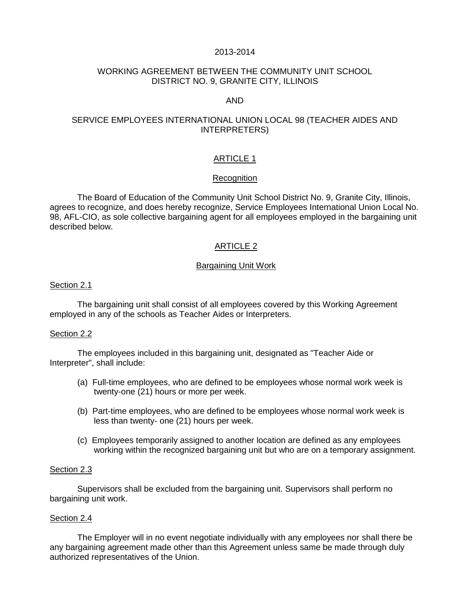### 2013-2014

# WORKING AGREEMENT BETWEEN THE COMMUNITY UNIT SCHOOL DISTRICT NO. 9, GRANITE CITY, ILLINOIS

### AND

## SERVICE EMPLOYEES INTERNATIONAL UNION LOCAL 98 (TEACHER AIDES AND INTERPRETERS)

## ARTICLE 1

### Recognition

The Board of Education of the Community Unit School District No. 9, Granite City, Illinois, agrees to recognize, and does hereby recognize, Service Employees International Union Local No. 98, AFL-CIO, as sole collective bargaining agent for all employees employed in the bargaining unit described below.

# ARTICLE 2

### Bargaining Unit Work

#### Section 2.1

 The bargaining unit shall consist of all employees covered by this Working Agreement employed in any of the schools as Teacher Aides or Interpreters.

### Section 2.2

The employees included in this bargaining unit, designated as "Teacher Aide or Interpreter", shall include:

- (a) Full-time employees, who are defined to be employees whose normal work week is twenty-one (21) hours or more per week.
- (b) Part-time employees, who are defined to be employees whose normal work week is less than twenty- one (21) hours per week.
- (c) Employees temporarily assigned to another location are defined as any employees working within the recognized bargaining unit but who are on a temporary assignment.

### Section 2.3

 Supervisors shall be excluded from the bargaining unit. Supervisors shall perform no bargaining unit work.

### Section 2.4

The Employer will in no event negotiate individually with any employees nor shall there be any bargaining agreement made other than this Agreement unless same be made through duly authorized representatives of the Union.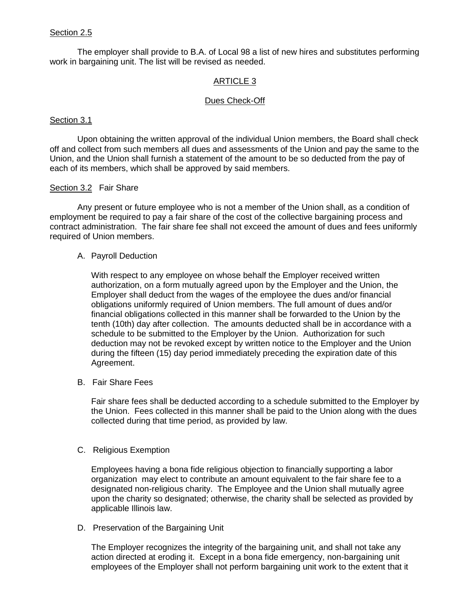# Section 2.5

The employer shall provide to B.A. of Local 98 a list of new hires and substitutes performing work in bargaining unit. The list will be revised as needed.

## ARTICLE 3

### Dues Check-Off

### Section 3.1

Upon obtaining the written approval of the individual Union members, the Board shall check off and collect from such members all dues and assessments of the Union and pay the same to the Union, and the Union shall furnish a statement of the amount to be so deducted from the pay of each of its members, which shall be approved by said members.

## Section 3.2 Fair Share

 Any present or future employee who is not a member of the Union shall, as a condition of employment be required to pay a fair share of the cost of the collective bargaining process and contract administration. The fair share fee shall not exceed the amount of dues and fees uniformly required of Union members.

### A. Payroll Deduction

With respect to any employee on whose behalf the Employer received written authorization, on a form mutually agreed upon by the Employer and the Union, the Employer shall deduct from the wages of the employee the dues and/or financial obligations uniformly required of Union members. The full amount of dues and/or financial obligations collected in this manner shall be forwarded to the Union by the tenth (10th) day after collection. The amounts deducted shall be in accordance with a schedule to be submitted to the Employer by the Union. Authorization for such deduction may not be revoked except by written notice to the Employer and the Union during the fifteen (15) day period immediately preceding the expiration date of this Agreement.

B. Fair Share Fees

Fair share fees shall be deducted according to a schedule submitted to the Employer by the Union. Fees collected in this manner shall be paid to the Union along with the dues collected during that time period, as provided by law.

### C. Religious Exemption

Employees having a bona fide religious objection to financially supporting a labor organization may elect to contribute an amount equivalent to the fair share fee to a designated non-religious charity. The Employee and the Union shall mutually agree upon the charity so designated; otherwise, the charity shall be selected as provided by applicable Illinois law.

D. Preservation of the Bargaining Unit

The Employer recognizes the integrity of the bargaining unit, and shall not take any action directed at eroding it. Except in a bona fide emergency, non-bargaining unit employees of the Employer shall not perform bargaining unit work to the extent that it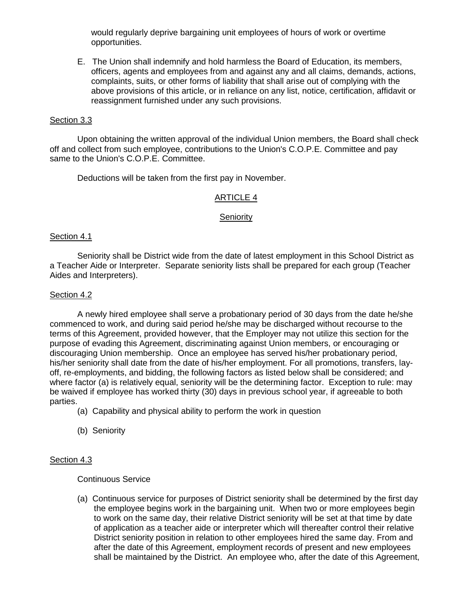would regularly deprive bargaining unit employees of hours of work or overtime opportunities.

E. The Union shall indemnify and hold harmless the Board of Education, its members, officers, agents and employees from and against any and all claims, demands, actions, complaints, suits, or other forms of liability that shall arise out of complying with the above provisions of this article, or in reliance on any list, notice, certification, affidavit or reassignment furnished under any such provisions.

### Section 3.3

Upon obtaining the written approval of the individual Union members, the Board shall check off and collect from such employee, contributions to the Union's C.O.P.E. Committee and pay same to the Union's C.O.P.E. Committee.

Deductions will be taken from the first pay in November.

### ARTICLE 4

#### **Seniority**

#### Section 4.1

Seniority shall be District wide from the date of latest employment in this School District as a Teacher Aide or Interpreter. Separate seniority lists shall be prepared for each group (Teacher Aides and Interpreters).

#### Section 4.2

A newly hired employee shall serve a probationary period of 30 days from the date he/she commenced to work, and during said period he/she may be discharged without recourse to the terms of this Agreement, provided however, that the Employer may not utilize this section for the purpose of evading this Agreement, discriminating against Union members, or encouraging or discouraging Union membership. Once an employee has served his/her probationary period, his/her seniority shall date from the date of his/her employment. For all promotions, transfers, layoff, re-employments, and bidding, the following factors as listed below shall be considered; and where factor (a) is relatively equal, seniority will be the determining factor. Exception to rule: may be waived if employee has worked thirty (30) days in previous school year, if agreeable to both parties.

- (a) Capability and physical ability to perform the work in question
- (b) Seniority

### Section 4.3

Continuous Service

(a) Continuous service for purposes of District seniority shall be determined by the first day the employee begins work in the bargaining unit. When two or more employees begin to work on the same day, their relative District seniority will be set at that time by date of application as a teacher aide or interpreter which will thereafter control their relative District seniority position in relation to other employees hired the same day. From and after the date of this Agreement, employment records of present and new employees shall be maintained by the District. An employee who, after the date of this Agreement,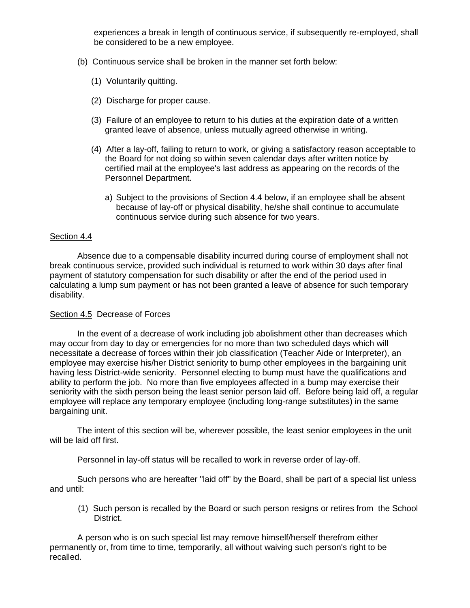experiences a break in length of continuous service, if subsequently re-employed, shall be considered to be a new employee.

- (b) Continuous service shall be broken in the manner set forth below:
	- (1) Voluntarily quitting.
	- (2) Discharge for proper cause.
	- (3) Failure of an employee to return to his duties at the expiration date of a written granted leave of absence, unless mutually agreed otherwise in writing.
	- (4) After a lay-off, failing to return to work, or giving a satisfactory reason acceptable to the Board for not doing so within seven calendar days after written notice by certified mail at the employee's last address as appearing on the records of the Personnel Department.
		- a) Subject to the provisions of Section 4.4 below, if an employee shall be absent because of lay-off or physical disability, he/she shall continue to accumulate continuous service during such absence for two years.

### Section 4.4

 Absence due to a compensable disability incurred during course of employment shall not break continuous service, provided such individual is returned to work within 30 days after final payment of statutory compensation for such disability or after the end of the period used in calculating a lump sum payment or has not been granted a leave of absence for such temporary disability.

# Section 4.5 Decrease of Forces

In the event of a decrease of work including job abolishment other than decreases which may occur from day to day or emergencies for no more than two scheduled days which will necessitate a decrease of forces within their job classification (Teacher Aide or Interpreter), an employee may exercise his/her District seniority to bump other employees in the bargaining unit having less District-wide seniority. Personnel electing to bump must have the qualifications and ability to perform the job. No more than five employees affected in a bump may exercise their seniority with the sixth person being the least senior person laid off. Before being laid off, a regular employee will replace any temporary employee (including long-range substitutes) in the same bargaining unit.

 The intent of this section will be, wherever possible, the least senior employees in the unit will be laid off first.

Personnel in lay-off status will be recalled to work in reverse order of lay-off.

 Such persons who are hereafter "laid off" by the Board, shall be part of a special list unless and until:

 (1) Such person is recalled by the Board or such person resigns or retires from the School District.

 A person who is on such special list may remove himself/herself therefrom either permanently or, from time to time, temporarily, all without waiving such person's right to be recalled.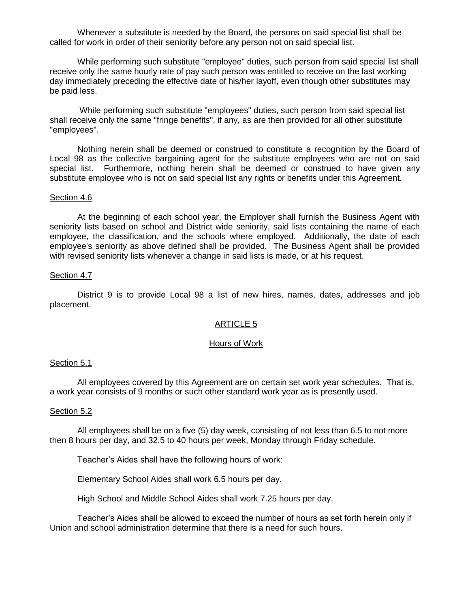Whenever a substitute is needed by the Board, the persons on said special list shall be called for work in order of their seniority before any person not on said special list.

 While performing such substitute "employee" duties, such person from said special list shall receive only the same hourly rate of pay such person was entitled to receive on the last working day immediately preceding the effective date of his/her layoff, even though other substitutes may be paid less.

 While performing such substitute "employees" duties, such person from said special list shall receive only the same "fringe benefits", if any, as are then provided for all other substitute "employees".

 Nothing herein shall be deemed or construed to constitute a recognition by the Board of Local 98 as the collective bargaining agent for the substitute employees who are not on said special list. Furthermore, nothing herein shall be deemed or construed to have given any substitute employee who is not on said special list any rights or benefits under this Agreement.

#### Section 4.6

 At the beginning of each school year, the Employer shall furnish the Business Agent with seniority lists based on school and District wide seniority, said lists containing the name of each employee, the classification, and the schools where employed. Additionally, the date of each employee's seniority as above defined shall be provided. The Business Agent shall be provided with revised seniority lists whenever a change in said lists is made, or at his request.

#### Section 4.7

District 9 is to provide Local 98 a list of new hires, names, dates, addresses and job placement.

#### ARTICLE 5

#### Hours of Work

#### Section 5.1

 All employees covered by this Agreement are on certain set work year schedules. That is, a work year consists of 9 months or such other standard work year as is presently used.

#### Section 5.2

 All employees shall be on a five (5) day week, consisting of not less than 6.5 to not more then 8 hours per day, and 32.5 to 40 hours per week, Monday through Friday schedule.

Teacher's Aides shall have the following hours of work:

Elementary School Aides shall work 6.5 hours per day.

High School and Middle School Aides shall work 7.25 hours per day.

Teacher's Aides shall be allowed to exceed the number of hours as set forth herein only if Union and school administration determine that there is a need for such hours.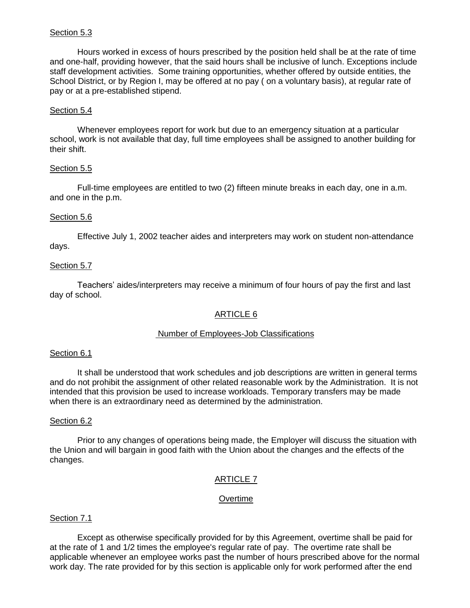# Section 5.3

 Hours worked in excess of hours prescribed by the position held shall be at the rate of time and one-half, providing however, that the said hours shall be inclusive of lunch. Exceptions include staff development activities. Some training opportunities, whether offered by outside entities, the School District, or by Region I, may be offered at no pay ( on a voluntary basis), at regular rate of pay or at a pre-established stipend.

### Section 5.4

Whenever employees report for work but due to an emergency situation at a particular school, work is not available that day, full time employees shall be assigned to another building for their shift.

## Section 5.5

 Full-time employees are entitled to two (2) fifteen minute breaks in each day, one in a.m. and one in the p.m.

## Section 5.6

Effective July 1, 2002 teacher aides and interpreters may work on student non-attendance days.

## Section 5.7

Teachers' aides/interpreters may receive a minimum of four hours of pay the first and last day of school.

# ARTICLE 6

### Number of Employees-Job Classifications

### Section 6.1

 It shall be understood that work schedules and job descriptions are written in general terms and do not prohibit the assignment of other related reasonable work by the Administration. It is not intended that this provision be used to increase workloads. Temporary transfers may be made when there is an extraordinary need as determined by the administration.

### Section 6.2

 Prior to any changes of operations being made, the Employer will discuss the situation with the Union and will bargain in good faith with the Union about the changes and the effects of the changes.

# ARTICLE 7

### **Overtime**

### Section 7.1

 Except as otherwise specifically provided for by this Agreement, overtime shall be paid for at the rate of 1 and 1/2 times the employee's regular rate of pay. The overtime rate shall be applicable whenever an employee works past the number of hours prescribed above for the normal work day. The rate provided for by this section is applicable only for work performed after the end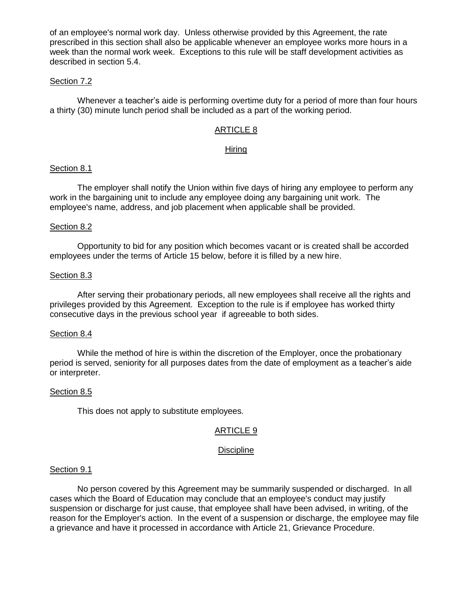of an employee's normal work day. Unless otherwise provided by this Agreement, the rate prescribed in this section shall also be applicable whenever an employee works more hours in a week than the normal work week. Exceptions to this rule will be staff development activities as described in section 5.4.

### Section 7.2

Whenever a teacher's aide is performing overtime duty for a period of more than four hours a thirty (30) minute lunch period shall be included as a part of the working period.

# ARTICLE 8

### Hiring

### Section 8.1

 The employer shall notify the Union within five days of hiring any employee to perform any work in the bargaining unit to include any employee doing any bargaining unit work. The employee's name, address, and job placement when applicable shall be provided.

### Section 8.2

 Opportunity to bid for any position which becomes vacant or is created shall be accorded employees under the terms of Article 15 below, before it is filled by a new hire.

#### Section 8.3

 After serving their probationary periods, all new employees shall receive all the rights and privileges provided by this Agreement. Exception to the rule is if employee has worked thirty consecutive days in the previous school year if agreeable to both sides.

#### Section 8.4

 While the method of hire is within the discretion of the Employer, once the probationary period is served, seniority for all purposes dates from the date of employment as a teacher's aide or interpreter.

### Section 8.5

This does not apply to substitute employees.

### ARTICLE 9

### **Discipline**

#### Section 9.1

 No person covered by this Agreement may be summarily suspended or discharged. In all cases which the Board of Education may conclude that an employee's conduct may justify suspension or discharge for just cause, that employee shall have been advised, in writing, of the reason for the Employer's action. In the event of a suspension or discharge, the employee may file a grievance and have it processed in accordance with Article 21, Grievance Procedure.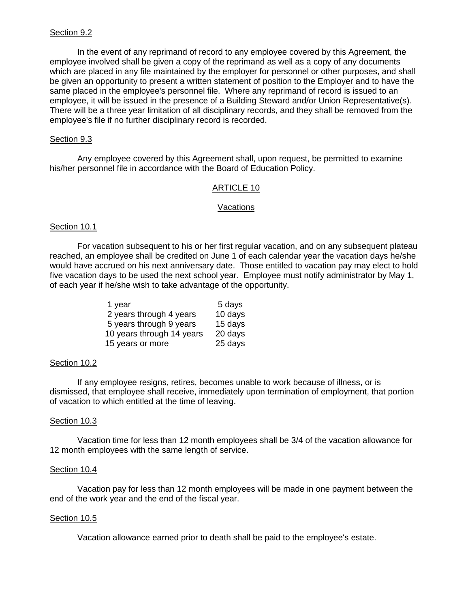### Section 9.2

 In the event of any reprimand of record to any employee covered by this Agreement, the employee involved shall be given a copy of the reprimand as well as a copy of any documents which are placed in any file maintained by the employer for personnel or other purposes, and shall be given an opportunity to present a written statement of position to the Employer and to have the same placed in the employee's personnel file. Where any reprimand of record is issued to an employee, it will be issued in the presence of a Building Steward and/or Union Representative(s). There will be a three year limitation of all disciplinary records, and they shall be removed from the employee's file if no further disciplinary record is recorded.

## Section 9.3

 Any employee covered by this Agreement shall, upon request, be permitted to examine his/her personnel file in accordance with the Board of Education Policy.

### ARTICLE 10

#### **Vacations**

### Section 10.1

 For vacation subsequent to his or her first regular vacation, and on any subsequent plateau reached, an employee shall be credited on June 1 of each calendar year the vacation days he/she would have accrued on his next anniversary date. Those entitled to vacation pay may elect to hold five vacation days to be used the next school year. Employee must notify administrator by May 1, of each year if he/she wish to take advantage of the opportunity.

| 1 year                    | 5 days  |
|---------------------------|---------|
| 2 years through 4 years   | 10 days |
| 5 years through 9 years   | 15 days |
| 10 years through 14 years | 20 days |
| 15 years or more          | 25 days |

### Section 10.2

 If any employee resigns, retires, becomes unable to work because of illness, or is dismissed, that employee shall receive, immediately upon termination of employment, that portion of vacation to which entitled at the time of leaving.

### Section 10.3

 Vacation time for less than 12 month employees shall be 3/4 of the vacation allowance for 12 month employees with the same length of service.

### Section 10.4

 Vacation pay for less than 12 month employees will be made in one payment between the end of the work year and the end of the fiscal year.

### Section 10.5

Vacation allowance earned prior to death shall be paid to the employee's estate.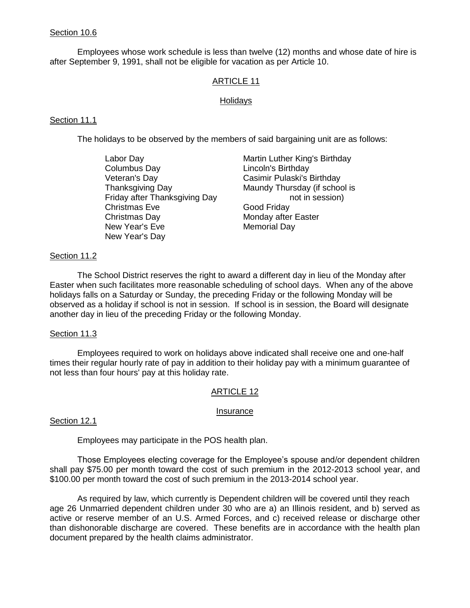## Section 10.6

Employees whose work schedule is less than twelve (12) months and whose date of hire is after September 9, 1991, shall not be eligible for vacation as per Article 10.

# ARTICLE 11

### Holidays

# Section 11.1

The holidays to be observed by the members of said bargaining unit are as follows:

| Labor Day                     | Martin Luther King's Birthday |
|-------------------------------|-------------------------------|
| Columbus Day                  | Lincoln's Birthday            |
| Veteran's Day                 | Casimir Pulaski's Birthday    |
| <b>Thanksgiving Day</b>       | Maundy Thursday (if school is |
| Friday after Thanksgiving Day | not in session)               |
| <b>Christmas Eve</b>          | Good Friday                   |
| Christmas Day                 | Monday after Easter           |
| New Year's Eve                | <b>Memorial Day</b>           |
| New Year's Day                |                               |

## Section 11.2

 The School District reserves the right to award a different day in lieu of the Monday after Easter when such facilitates more reasonable scheduling of school days. When any of the above holidays falls on a Saturday or Sunday, the preceding Friday or the following Monday will be observed as a holiday if school is not in session. If school is in session, the Board will designate another day in lieu of the preceding Friday or the following Monday.

### Section 11.3

 Employees required to work on holidays above indicated shall receive one and one-half times their regular hourly rate of pay in addition to their holiday pay with a minimum guarantee of not less than four hours' pay at this holiday rate.

### ARTICLE 12

### Insurance

### Section 12.1

Employees may participate in the POS health plan.

Those Employees electing coverage for the Employee's spouse and/or dependent children shall pay \$75.00 per month toward the cost of such premium in the 2012-2013 school year, and \$100.00 per month toward the cost of such premium in the 2013-2014 school year.

As required by law, which currently is Dependent children will be covered until they reach age 26 Unmarried dependent children under 30 who are a) an Illinois resident, and b) served as active or reserve member of an U.S. Armed Forces, and c) received release or discharge other than dishonorable discharge are covered. These benefits are in accordance with the health plan document prepared by the health claims administrator.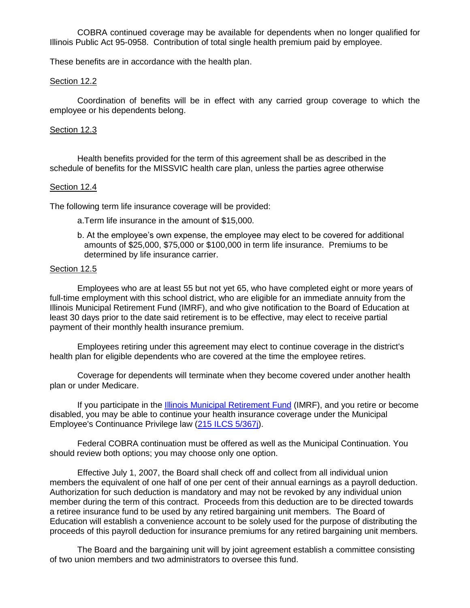COBRA continued coverage may be available for dependents when no longer qualified for Illinois Public Act 95-0958. Contribution of total single health premium paid by employee.

These benefits are in accordance with the health plan.

### Section 12.2

Coordination of benefits will be in effect with any carried group coverage to which the employee or his dependents belong.

### Section 12.3

Health benefits provided for the term of this agreement shall be as described in the schedule of benefits for the MISSVIC health care plan, unless the parties agree otherwise

### Section 12.4

The following term life insurance coverage will be provided:

- a.Term life insurance in the amount of \$15,000.
- b. At the employee's own expense, the employee may elect to be covered for additional amounts of \$25,000, \$75,000 or \$100,000 in term life insurance. Premiums to be determined by life insurance carrier.

#### Section 12.5

Employees who are at least 55 but not yet 65, who have completed eight or more years of full-time employment with this school district, who are eligible for an immediate annuity from the Illinois Municipal Retirement Fund (IMRF), and who give notification to the Board of Education at least 30 days prior to the date said retirement is to be effective, may elect to receive partial payment of their monthly health insurance premium.

 Employees retiring under this agreement may elect to continue coverage in the district's health plan for eligible dependents who are covered at the time the employee retires.

 Coverage for dependents will terminate when they become covered under another health plan or under Medicare.

If you participate in the [Illinois Municipal Retirement Fund](http://www.imrf.org/) (IMRF), and you retire or become disabled, you may be able to continue your health insurance coverage under the Municipal Employee's Continuance Privilege law [\(215 ILCS 5/367j\)](http://www.imrf.org/legislation/IL_insurance_code.htm#367j).

Federal COBRA continuation must be offered as well as the Municipal Continuation. You should review both options; you may choose only one option.

Effective July 1, 2007, the Board shall check off and collect from all individual union members the equivalent of one half of one per cent of their annual earnings as a payroll deduction. Authorization for such deduction is mandatory and may not be revoked by any individual union member during the term of this contract. Proceeds from this deduction are to be directed towards a retiree insurance fund to be used by any retired bargaining unit members. The Board of Education will establish a convenience account to be solely used for the purpose of distributing the proceeds of this payroll deduction for insurance premiums for any retired bargaining unit members.

The Board and the bargaining unit will by joint agreement establish a committee consisting of two union members and two administrators to oversee this fund.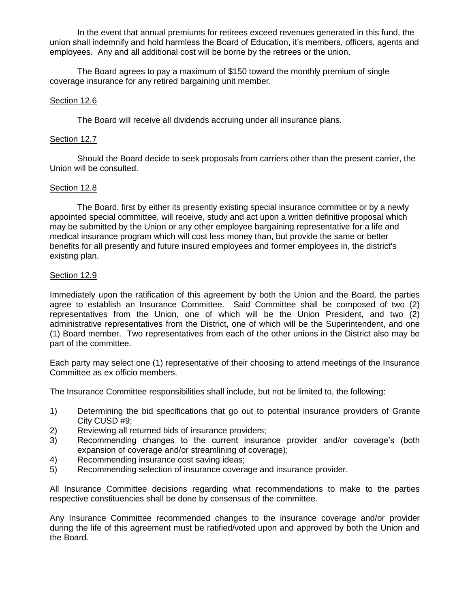In the event that annual premiums for retirees exceed revenues generated in this fund, the union shall indemnify and hold harmless the Board of Education, it's members, officers, agents and employees. Any and all additional cost will be borne by the retirees or the union.

The Board agrees to pay a maximum of \$150 toward the monthly premium of single coverage insurance for any retired bargaining unit member.

## Section 12.6

The Board will receive all dividends accruing under all insurance plans.

### Section 12.7

 Should the Board decide to seek proposals from carriers other than the present carrier, the Union will be consulted.

## Section 12.8

 The Board, first by either its presently existing special insurance committee or by a newly appointed special committee, will receive, study and act upon a written definitive proposal which may be submitted by the Union or any other employee bargaining representative for a life and medical insurance program which will cost less money than, but provide the same or better benefits for all presently and future insured employees and former employees in, the district's existing plan.

## Section 12.9

Immediately upon the ratification of this agreement by both the Union and the Board, the parties agree to establish an Insurance Committee. Said Committee shall be composed of two (2) representatives from the Union, one of which will be the Union President, and two (2) administrative representatives from the District, one of which will be the Superintendent, and one (1) Board member. Two representatives from each of the other unions in the District also may be part of the committee.

Each party may select one (1) representative of their choosing to attend meetings of the Insurance Committee as ex officio members.

The Insurance Committee responsibilities shall include, but not be limited to, the following:

- 1) Determining the bid specifications that go out to potential insurance providers of Granite City CUSD #9;
- 2) Reviewing all returned bids of insurance providers;
- 3) Recommending changes to the current insurance provider and/or coverage's (both expansion of coverage and/or streamlining of coverage);
- 4) Recommending insurance cost saving ideas;
- 5) Recommending selection of insurance coverage and insurance provider.

All Insurance Committee decisions regarding what recommendations to make to the parties respective constituencies shall be done by consensus of the committee.

Any Insurance Committee recommended changes to the insurance coverage and/or provider during the life of this agreement must be ratified/voted upon and approved by both the Union and the Board.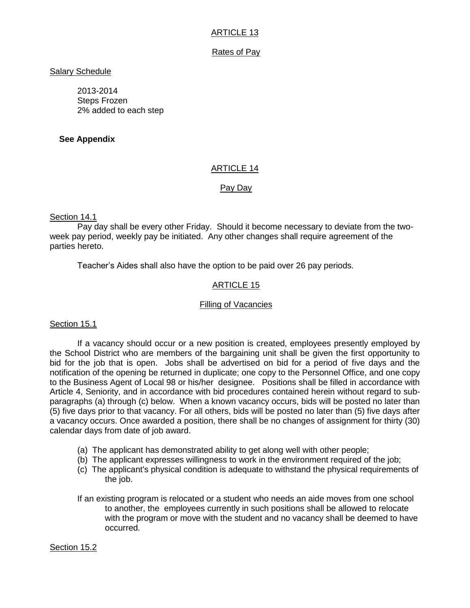# ARTICLE 13

# Rates of Pay

# Salary Schedule

2013-2014 Steps Frozen 2% added to each step

# **See Appendix**

# ARTICLE 14

# Pay Day

## Section 14.1

Pay day shall be every other Friday. Should it become necessary to deviate from the twoweek pay period, weekly pay be initiated. Any other changes shall require agreement of the parties hereto.

Teacher's Aides shall also have the option to be paid over 26 pay periods.

# ARTICLE 15

### Filling of Vacancies

# Section 15.1

 If a vacancy should occur or a new position is created, employees presently employed by the School District who are members of the bargaining unit shall be given the first opportunity to bid for the job that is open. Jobs shall be advertised on bid for a period of five days and the notification of the opening be returned in duplicate; one copy to the Personnel Office, and one copy to the Business Agent of Local 98 or his/her designee. Positions shall be filled in accordance with Article 4, Seniority, and in accordance with bid procedures contained herein without regard to subparagraphs (a) through (c) below. When a known vacancy occurs, bids will be posted no later than (5) five days prior to that vacancy. For all others, bids will be posted no later than (5) five days after a vacancy occurs. Once awarded a position, there shall be no changes of assignment for thirty (30) calendar days from date of job award.

- (a) The applicant has demonstrated ability to get along well with other people;
- (b) The applicant expresses willingness to work in the environment required of the job;
- (c) The applicant's physical condition is adequate to withstand the physical requirements of the job.
- If an existing program is relocated or a student who needs an aide moves from one school to another, the employees currently in such positions shall be allowed to relocate with the program or move with the student and no vacancy shall be deemed to have occurred.

### Section 15.2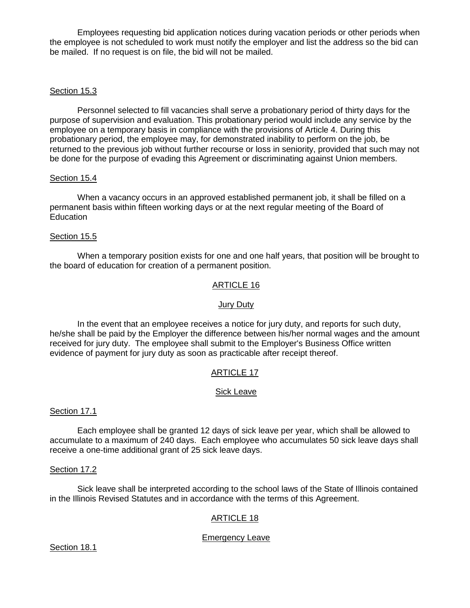Employees requesting bid application notices during vacation periods or other periods when the employee is not scheduled to work must notify the employer and list the address so the bid can be mailed. If no request is on file, the bid will not be mailed.

# Section 15.3

 Personnel selected to fill vacancies shall serve a probationary period of thirty days for the purpose of supervision and evaluation. This probationary period would include any service by the employee on a temporary basis in compliance with the provisions of Article 4. During this probationary period, the employee may, for demonstrated inability to perform on the job, be returned to the previous job without further recourse or loss in seniority, provided that such may not be done for the purpose of evading this Agreement or discriminating against Union members.

### Section 15.4

 When a vacancy occurs in an approved established permanent job, it shall be filled on a permanent basis within fifteen working days or at the next regular meeting of the Board of Education

## Section 15.5

When a temporary position exists for one and one half years, that position will be brought to the board of education for creation of a permanent position.

# ARTICLE 16

### Jury Duty

 In the event that an employee receives a notice for jury duty, and reports for such duty, he/she shall be paid by the Employer the difference between his/her normal wages and the amount received for jury duty. The employee shall submit to the Employer's Business Office written evidence of payment for jury duty as soon as practicable after receipt thereof.

# ARTICLE 17

### Sick Leave

### Section 17.1

 Each employee shall be granted 12 days of sick leave per year, which shall be allowed to accumulate to a maximum of 240 days. Each employee who accumulates 50 sick leave days shall receive a one-time additional grant of 25 sick leave days.

### Section 17.2

 Sick leave shall be interpreted according to the school laws of the State of Illinois contained in the Illinois Revised Statutes and in accordance with the terms of this Agreement.

# ARTICLE 18

# Emergency Leave

Section 18.1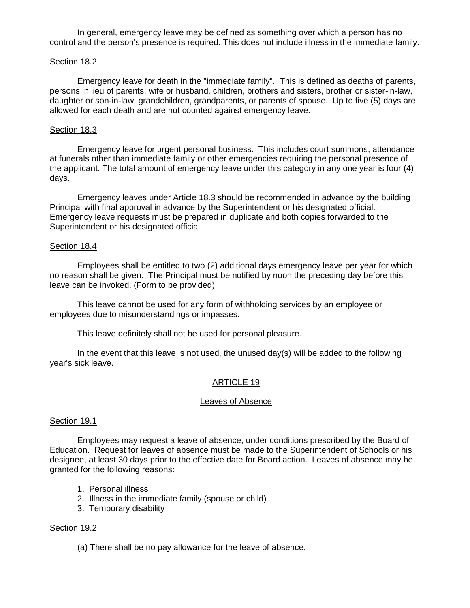In general, emergency leave may be defined as something over which a person has no control and the person's presence is required. This does not include illness in the immediate family.

### Section 18.2

 Emergency leave for death in the "immediate family". This is defined as deaths of parents, persons in lieu of parents, wife or husband, children, brothers and sisters, brother or sister-in-law, daughter or son-in-law, grandchildren, grandparents, or parents of spouse. Up to five (5) days are allowed for each death and are not counted against emergency leave.

### Section 18.3

 Emergency leave for urgent personal business. This includes court summons, attendance at funerals other than immediate family or other emergencies requiring the personal presence of the applicant. The total amount of emergency leave under this category in any one year is four (4) days.

 Emergency leaves under Article 18.3 should be recommended in advance by the building Principal with final approval in advance by the Superintendent or his designated official. Emergency leave requests must be prepared in duplicate and both copies forwarded to the Superintendent or his designated official.

#### Section 18.4

 Employees shall be entitled to two (2) additional days emergency leave per year for which no reason shall be given. The Principal must be notified by noon the preceding day before this leave can be invoked. (Form to be provided)

 This leave cannot be used for any form of withholding services by an employee or employees due to misunderstandings or impasses.

This leave definitely shall not be used for personal pleasure.

 In the event that this leave is not used, the unused day(s) will be added to the following year's sick leave.

### ARTICLE 19

### Leaves of Absence

#### Section 19.1

 Employees may request a leave of absence, under conditions prescribed by the Board of Education. Request for leaves of absence must be made to the Superintendent of Schools or his designee, at least 30 days prior to the effective date for Board action. Leaves of absence may be granted for the following reasons:

- 1. Personal illness
- 2. Illness in the immediate family (spouse or child)
- 3. Temporary disability

### Section 19.2

(a) There shall be no pay allowance for the leave of absence.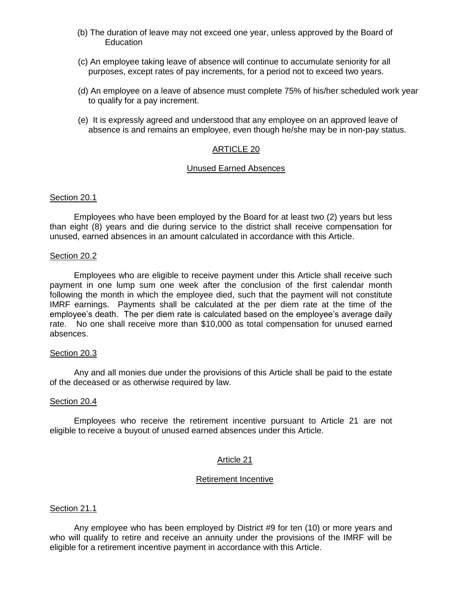- (b) The duration of leave may not exceed one year, unless approved by the Board of **Education**
- (c) An employee taking leave of absence will continue to accumulate seniority for all purposes, except rates of pay increments, for a period not to exceed two years.
- (d) An employee on a leave of absence must complete 75% of his/her scheduled work year to qualify for a pay increment.
- (e) It is expressly agreed and understood that any employee on an approved leave of absence is and remains an employee, even though he/she may be in non-pay status.

### ARTICLE 20

### Unused Earned Absences

#### Section 20.1

Employees who have been employed by the Board for at least two (2) years but less than eight (8) years and die during service to the district shall receive compensation for unused, earned absences in an amount calculated in accordance with this Article.

#### Section 20.2

Employees who are eligible to receive payment under this Article shall receive such payment in one lump sum one week after the conclusion of the first calendar month following the month in which the employee died, such that the payment will not constitute IMRF earnings. Payments shall be calculated at the per diem rate at the time of the employee's death. The per diem rate is calculated based on the employee's average daily rate. No one shall receive more than \$10,000 as total compensation for unused earned absences.

#### Section 20.3

Any and all monies due under the provisions of this Article shall be paid to the estate of the deceased or as otherwise required by law.

#### Section 20.4

Employees who receive the retirement incentive pursuant to Article 21 are not eligible to receive a buyout of unused earned absences under this Article.

### Article 21

### Retirement Incentive

### Section 21.1

Any employee who has been employed by District #9 for ten (10) or more years and who will qualify to retire and receive an annuity under the provisions of the IMRF will be eligible for a retirement incentive payment in accordance with this Article.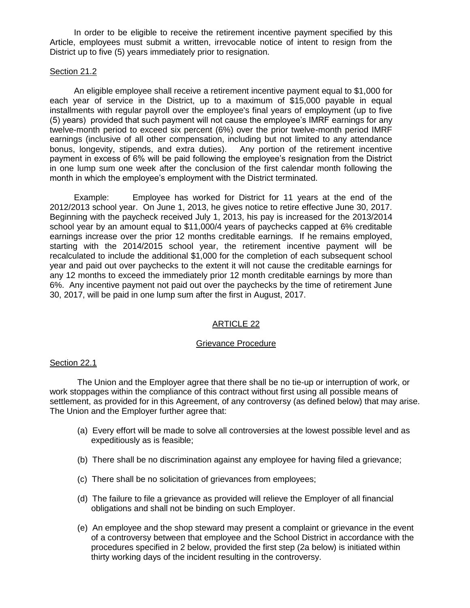In order to be eligible to receive the retirement incentive payment specified by this Article, employees must submit a written, irrevocable notice of intent to resign from the District up to five (5) years immediately prior to resignation.

### Section 21.2

An eligible employee shall receive a retirement incentive payment equal to \$1,000 for each year of service in the District, up to a maximum of \$15,000 payable in equal installments with regular payroll over the employee's final years of employment (up to five (5) years) provided that such payment will not cause the employee's IMRF earnings for any twelve-month period to exceed six percent (6%) over the prior twelve-month period IMRF earnings (inclusive of all other compensation, including but not limited to any attendance bonus, longevity, stipends, and extra duties). Any portion of the retirement incentive payment in excess of 6% will be paid following the employee's resignation from the District in one lump sum one week after the conclusion of the first calendar month following the month in which the employee's employment with the District terminated.

Example: Employee has worked for District for 11 years at the end of the 2012/2013 school year. On June 1, 2013, he gives notice to retire effective June 30, 2017. Beginning with the paycheck received July 1, 2013, his pay is increased for the 2013/2014 school year by an amount equal to \$11,000/4 years of paychecks capped at 6% creditable earnings increase over the prior 12 months creditable earnings. If he remains employed, starting with the 2014/2015 school year, the retirement incentive payment will be recalculated to include the additional \$1,000 for the completion of each subsequent school year and paid out over paychecks to the extent it will not cause the creditable earnings for any 12 months to exceed the immediately prior 12 month creditable earnings by more than 6%. Any incentive payment not paid out over the paychecks by the time of retirement June 30, 2017, will be paid in one lump sum after the first in August, 2017.

# ARTICLE 22

### Grievance Procedure

### Section 22.1

 The Union and the Employer agree that there shall be no tie-up or interruption of work, or work stoppages within the compliance of this contract without first using all possible means of settlement, as provided for in this Agreement, of any controversy (as defined below) that may arise. The Union and the Employer further agree that:

- (a) Every effort will be made to solve all controversies at the lowest possible level and as expeditiously as is feasible;
- (b) There shall be no discrimination against any employee for having filed a grievance;
- (c) There shall be no solicitation of grievances from employees;
- (d) The failure to file a grievance as provided will relieve the Employer of all financial obligations and shall not be binding on such Employer.
- (e) An employee and the shop steward may present a complaint or grievance in the event of a controversy between that employee and the School District in accordance with the procedures specified in 2 below, provided the first step (2a below) is initiated within thirty working days of the incident resulting in the controversy.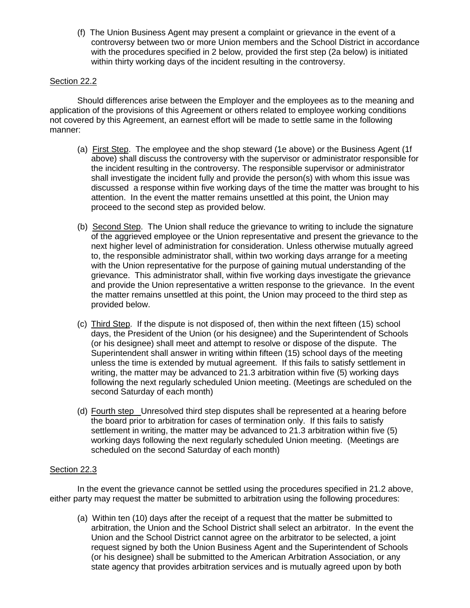(f) The Union Business Agent may present a complaint or grievance in the event of a controversy between two or more Union members and the School District in accordance with the procedures specified in 2 below, provided the first step (2a below) is initiated within thirty working days of the incident resulting in the controversy.

# Section 22.2

 Should differences arise between the Employer and the employees as to the meaning and application of the provisions of this Agreement or others related to employee working conditions not covered by this Agreement, an earnest effort will be made to settle same in the following manner:

- (a) First Step. The employee and the shop steward (1e above) or the Business Agent (1f above) shall discuss the controversy with the supervisor or administrator responsible for the incident resulting in the controversy. The responsible supervisor or administrator shall investigate the incident fully and provide the person(s) with whom this issue was discussed a response within five working days of the time the matter was brought to his attention. In the event the matter remains unsettled at this point, the Union may proceed to the second step as provided below.
- (b) Second Step. The Union shall reduce the grievance to writing to include the signature of the aggrieved employee or the Union representative and present the grievance to the next higher level of administration for consideration. Unless otherwise mutually agreed to, the responsible administrator shall, within two working days arrange for a meeting with the Union representative for the purpose of gaining mutual understanding of the grievance. This administrator shall, within five working days investigate the grievance and provide the Union representative a written response to the grievance. In the event the matter remains unsettled at this point, the Union may proceed to the third step as provided below.
- (c) Third Step. If the dispute is not disposed of, then within the next fifteen (15) school days, the President of the Union (or his designee) and the Superintendent of Schools (or his designee) shall meet and attempt to resolve or dispose of the dispute. The Superintendent shall answer in writing within fifteen (15) school days of the meeting unless the time is extended by mutual agreement. If this fails to satisfy settlement in writing, the matter may be advanced to 21.3 arbitration within five (5) working days following the next regularly scheduled Union meeting. (Meetings are scheduled on the second Saturday of each month)
- (d) Fourth step Unresolved third step disputes shall be represented at a hearing before the board prior to arbitration for cases of termination only. If this fails to satisfy settlement in writing, the matter may be advanced to 21.3 arbitration within five (5) working days following the next regularly scheduled Union meeting. (Meetings are scheduled on the second Saturday of each month)

# Section 22.3

In the event the grievance cannot be settled using the procedures specified in 21.2 above, either party may request the matter be submitted to arbitration using the following procedures:

(a) Within ten (10) days after the receipt of a request that the matter be submitted to arbitration, the Union and the School District shall select an arbitrator. In the event the Union and the School District cannot agree on the arbitrator to be selected, a joint request signed by both the Union Business Agent and the Superintendent of Schools (or his designee) shall be submitted to the American Arbitration Association, or any state agency that provides arbitration services and is mutually agreed upon by both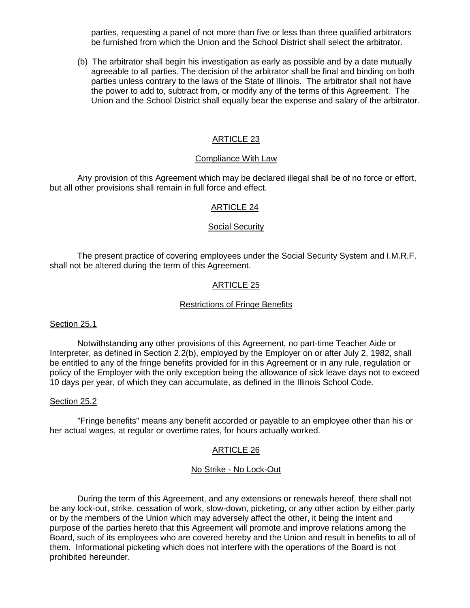parties, requesting a panel of not more than five or less than three qualified arbitrators be furnished from which the Union and the School District shall select the arbitrator.

(b) The arbitrator shall begin his investigation as early as possible and by a date mutually agreeable to all parties. The decision of the arbitrator shall be final and binding on both parties unless contrary to the laws of the State of Illinois. The arbitrator shall not have the power to add to, subtract from, or modify any of the terms of this Agreement. The Union and the School District shall equally bear the expense and salary of the arbitrator.

## ARTICLE 23

#### Compliance With Law

 Any provision of this Agreement which may be declared illegal shall be of no force or effort, but all other provisions shall remain in full force and effect.

#### ARTICLE 24

#### Social Security

 The present practice of covering employees under the Social Security System and I.M.R.F. shall not be altered during the term of this Agreement.

## ARTICLE 25

#### Restrictions of Fringe Benefits

#### Section 25.1

 Notwithstanding any other provisions of this Agreement, no part-time Teacher Aide or Interpreter, as defined in Section 2.2(b), employed by the Employer on or after July 2, 1982, shall be entitled to any of the fringe benefits provided for in this Agreement or in any rule, regulation or policy of the Employer with the only exception being the allowance of sick leave days not to exceed 10 days per year, of which they can accumulate, as defined in the Illinois School Code.

#### Section 25.2

 "Fringe benefits" means any benefit accorded or payable to an employee other than his or her actual wages, at regular or overtime rates, for hours actually worked.

### ARTICLE 26

#### No Strike - No Lock-Out

 During the term of this Agreement, and any extensions or renewals hereof, there shall not be any lock-out, strike, cessation of work, slow-down, picketing, or any other action by either party or by the members of the Union which may adversely affect the other, it being the intent and purpose of the parties hereto that this Agreement will promote and improve relations among the Board, such of its employees who are covered hereby and the Union and result in benefits to all of them. Informational picketing which does not interfere with the operations of the Board is not prohibited hereunder.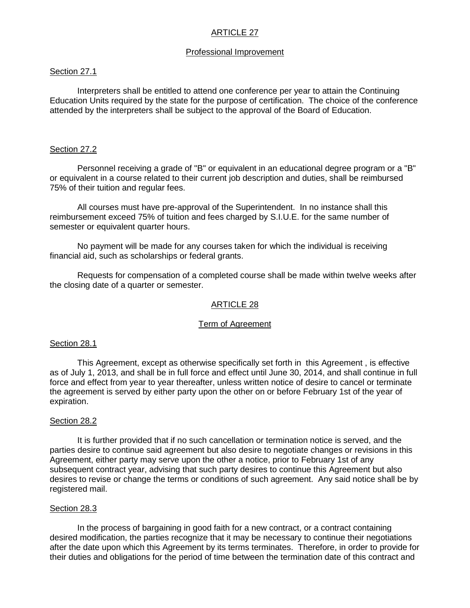# ARTICLE 27

#### Professional Improvement

### Section 27.1

Interpreters shall be entitled to attend one conference per year to attain the Continuing Education Units required by the state for the purpose of certification. The choice of the conference attended by the interpreters shall be subject to the approval of the Board of Education.

#### Section 27.2

Personnel receiving a grade of "B" or equivalent in an educational degree program or a "B" or equivalent in a course related to their current job description and duties, shall be reimbursed 75% of their tuition and regular fees.

All courses must have pre-approval of the Superintendent. In no instance shall this reimbursement exceed 75% of tuition and fees charged by S.I.U.E. for the same number of semester or equivalent quarter hours.

No payment will be made for any courses taken for which the individual is receiving financial aid, such as scholarships or federal grants.

Requests for compensation of a completed course shall be made within twelve weeks after the closing date of a quarter or semester.

### ARTICLE 28

#### Term of Agreement

### Section 28.1

 This Agreement, except as otherwise specifically set forth in this Agreement , is effective as of July 1, 2013, and shall be in full force and effect until June 30, 2014, and shall continue in full force and effect from year to year thereafter, unless written notice of desire to cancel or terminate the agreement is served by either party upon the other on or before February 1st of the year of expiration.

#### Section 28.2

 It is further provided that if no such cancellation or termination notice is served, and the parties desire to continue said agreement but also desire to negotiate changes or revisions in this Agreement, either party may serve upon the other a notice, prior to February 1st of any subsequent contract year, advising that such party desires to continue this Agreement but also desires to revise or change the terms or conditions of such agreement. Any said notice shall be by registered mail.

#### Section 28.3

In the process of bargaining in good faith for a new contract, or a contract containing desired modification, the parties recognize that it may be necessary to continue their negotiations after the date upon which this Agreement by its terms terminates. Therefore, in order to provide for their duties and obligations for the period of time between the termination date of this contract and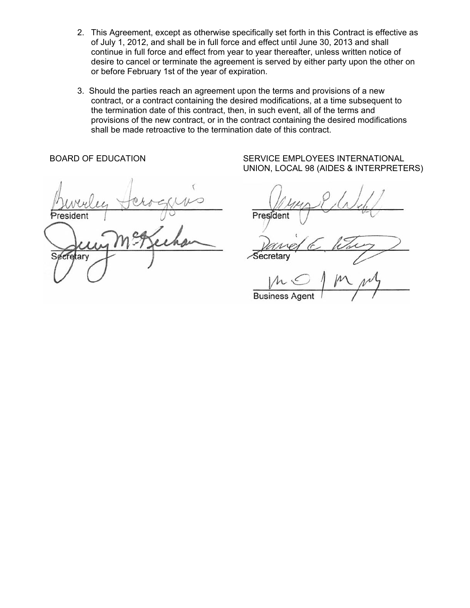- 2. This Agreement, except as otherwise specifically set forth in this Contract is effective as of July 1, 2012, and shall be in full force and effect until June 30, 2013 and shall continue in full force and effect from year to year thereafter, unless written notice of desire to cancel or terminate the agreement is served by either party upon the other on or before February 1st of the year of expiration.
- 3. Should the parties reach an agreement upon the terms and provisions of a new contract, or a contract containing the desired modifications, at a time subsequent to the termination date of this contract, then, in such event, all of the terms and provisions of the new contract, or in the contract containing the desired modifications shall be made retroactive to the termination date of this contract.

 $h_{\mu\nu}$ ,  $\downarrow$   $\downarrow$ provide pour groupe den  $\bigcup$   $\bigcap_{i=1}^n a_i \in \mathbb{R}^n$  $S(\mu)$  Secretary Secretary Secretary Secretary Secretary Secretary Secretary Secretary Secretary Secretary Secretary Secretary Secretary Secretary Secretary Secretary Secretary Secretary Secretary Secretary Secretary Secr ecretary  $\cup$   $\cup$   $\cup$   $\cup$   $\cup$   $\cup$   $\cup$  $\sqrt{n}$ 

BOARD OF EDUCATION SERVICE EMPLOYEES INTERNATIONAL UNION, LOCAL 98 (AIDES & INTERPRETERS)

Secretarv

**Business Agent**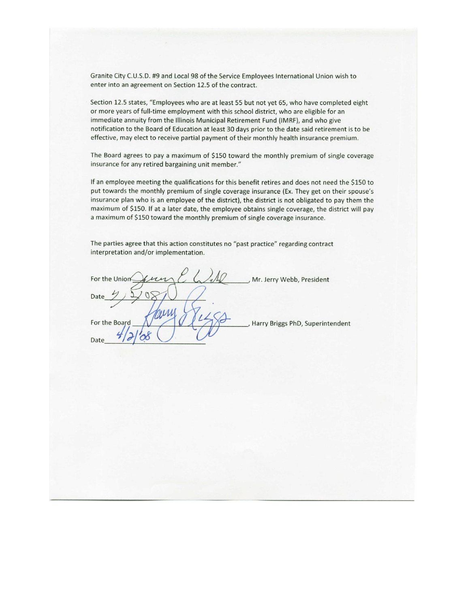Granite City C.U.S.D. #9 and Local 98 of the Service Employees International Union wish to enter into an agreement on Section 12.5 of the contract.

Section 12.5 states, "Employees who are at least 55 but not yet 65, who have completed eight or more years of full-time employment with this school district, who are eligible for an immediate annuity from the Illinois Municipal Retirement Fund (IMRF), and who give notification to the Board of Education at least 30 days prior to the date said retirement is to be effective, may elect to receive partial payment of their monthly health insurance premium.

The Board agrees to pay a maximum of \$150 toward the monthly premium of single coverage insurance for any retired bargaining unit member."

If an employee meeting the qualifications for this benefit retires and does not need the \$150 to put towards the monthly premium of single coverage insurance (Ex. They get on their spouse's insurance plan who is an employee of the district), the district is not obligated to pay them the maximum of \$150. If at a later date, the employee obtains single coverage, the district will pay a maximum of \$150 toward the monthly premium of single coverage insurance.

The parties agree that this action constitutes no "past practice" regarding contract interpretation and/or implementation.

| For the Union<br>un | Mr. Jerry Webb, President          |
|---------------------|------------------------------------|
| Date                |                                    |
| For the Board       | , Harry Briggs PhD, Superintendent |
| Date                |                                    |